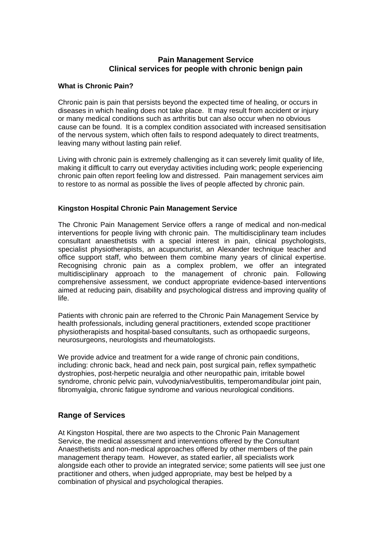# **Pain Management Service Clinical services for people with chronic benign pain**

## **What is Chronic Pain?**

Chronic pain is pain that persists beyond the expected time of healing, or occurs in diseases in which healing does not take place. It may result from accident or injury or many medical conditions such as arthritis but can also occur when no obvious cause can be found. It is a complex condition associated with increased sensitisation of the nervous system, which often fails to respond adequately to direct treatments, leaving many without lasting pain relief.

Living with chronic pain is extremely challenging as it can severely limit quality of life, making it difficult to carry out everyday activities including work; people experiencing chronic pain often report feeling low and distressed. Pain management services aim to restore to as normal as possible the lives of people affected by chronic pain.

## **Kingston Hospital Chronic Pain Management Service**

The Chronic Pain Management Service offers a range of medical and non-medical interventions for people living with chronic pain. The multidisciplinary team includes consultant anaesthetists with a special interest in pain, clinical psychologists, specialist physiotherapists, an acupuncturist, an Alexander technique teacher and office support staff, who between them combine many years of clinical expertise. Recognising chronic pain as a complex problem, we offer an integrated multidisciplinary approach to the management of chronic pain. Following comprehensive assessment, we conduct appropriate evidence-based interventions aimed at reducing pain, disability and psychological distress and improving quality of life.

Patients with chronic pain are referred to the Chronic Pain Management Service by health professionals, including general practitioners, extended scope practitioner physiotherapists and hospital-based consultants, such as orthopaedic surgeons, neurosurgeons, neurologists and rheumatologists.

We provide advice and treatment for a wide range of chronic pain conditions, including: chronic back, head and neck pain, post surgical pain, reflex sympathetic dystrophies, post-herpetic neuralgia and other neuropathic pain, irritable bowel syndrome, chronic pelvic pain, vulvodynia/vestibulitis, temperomandibular joint pain, fibromyalgia, chronic fatigue syndrome and various neurological conditions.

# **Range of Services**

At Kingston Hospital, there are two aspects to the Chronic Pain Management Service, the medical assessment and interventions offered by the Consultant Anaesthetists and non-medical approaches offered by other members of the pain management therapy team. However, as stated earlier, all specialists work alongside each other to provide an integrated service; some patients will see just one practitioner and others, when judged appropriate, may best be helped by a combination of physical and psychological therapies.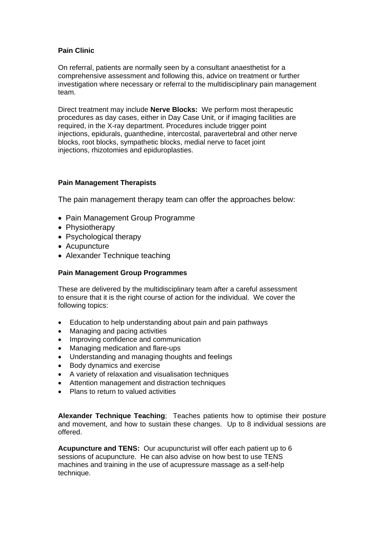# **Pain Clinic**

On referral, patients are normally seen by a consultant anaesthetist for a comprehensive assessment and following this, advice on treatment or further investigation where necessary or referral to the multidisciplinary pain management team.

Direct treatment may include **Nerve Blocks:** We perform most therapeutic procedures as day cases, either in Day Case Unit, or if imaging facilities are required, in the X-ray department. Procedures include trigger point injections, epidurals, guanthedine, intercostal, paravertebral and other nerve blocks, root blocks, sympathetic blocks, medial nerve to facet joint injections, rhizotomies and epiduroplasties.

# **Pain Management Therapists**

The pain management therapy team can offer the approaches below:

- Pain Management Group Programme
- Physiotherapy
- Psychological therapy
- Acupuncture
- Alexander Technique teaching

# **Pain Management Group Programmes**

These are delivered by the multidisciplinary team after a careful assessment to ensure that it is the right course of action for the individual. We cover the following topics:

- Education to help understanding about pain and pain pathways
- Managing and pacing activities
- Improving confidence and communication
- Managing medication and flare-ups
- Understanding and managing thoughts and feelings
- Body dynamics and exercise
- A variety of relaxation and visualisation techniques
- Attention management and distraction techniques
- Plans to return to valued activities

**Alexander Technique Teaching**; Teaches patients how to optimise their posture and movement, and how to sustain these changes. Up to 8 individual sessions are offered.

**Acupuncture and TENS:** Our acupuncturist will offer each patient up to 6 sessions of acupuncture. He can also advise on how best to use TENS machines and training in the use of acupressure massage as a self-help technique.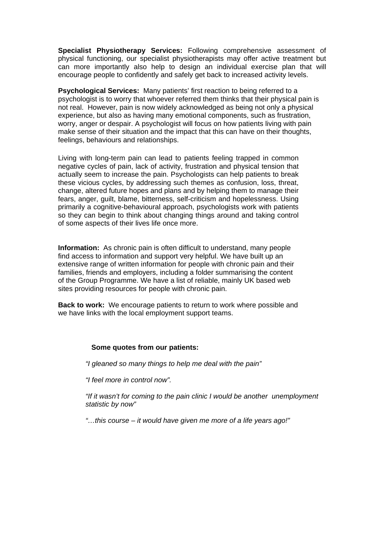**Specialist Physiotherapy Services:** Following comprehensive assessment of physical functioning, our specialist physiotherapists may offer active treatment but can more importantly also help to design an individual exercise plan that will encourage people to confidently and safely get back to increased activity levels.

**Psychological Services:**Many patients' first reaction to being referred to a psychologist is to worry that whoever referred them thinks that their physical pain is not real. However, pain is now widely acknowledged as being not only a physical experience, but also as having many emotional components, such as frustration, worry, anger or despair. A psychologist will focus on how patients living with pain make sense of their situation and the impact that this can have on their thoughts, feelings, behaviours and relationships.

Living with long-term pain can lead to patients feeling trapped in common negative cycles of pain, lack of activity, frustration and physical tension that actually seem to increase the pain. Psychologists can help patients to break these vicious cycles, by addressing such themes as confusion, loss, threat, change, altered future hopes and plans and by helping them to manage their fears, anger, guilt, blame, bitterness, self-criticism and hopelessness. Using primarily a cognitive-behavioural approach, psychologists work with patients so they can begin to think about changing things around and taking control of some aspects of their lives life once more.

**Information:** As chronic pain is often difficult to understand, many people find access to information and support very helpful. We have built up an extensive range of written information for people with chronic pain and their families, friends and employers, including a folder summarising the content of the Group Programme. We have a list of reliable, mainly UK based web sites providing resources for people with chronic pain.

**Back to work:** We encourage patients to return to work where possible and we have links with the local employment support teams.

#### **Some quotes from our patients:**

*"I gleaned so many things to help me deal with the pain"* 

*"I feel more in control now".* 

*"If it wasn't for coming to the pain clinic I would be another unemployment statistic by now"* 

*"…this course – it would have given me more of a life years ago!"*